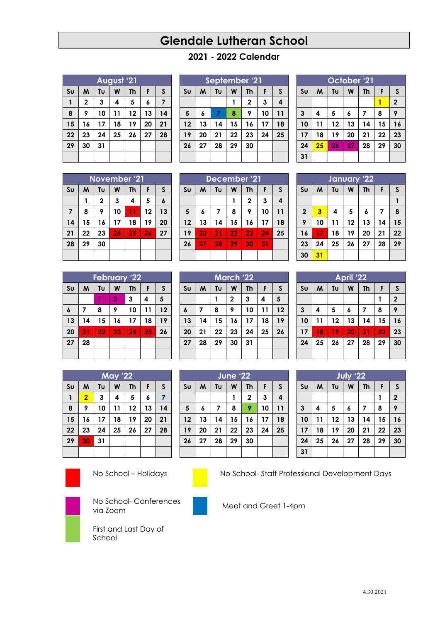# **Glendale Lutheran School**

# **2021 - 2022 Calendar**

|                | August '21  |                           |    |    |    |    |  |  |  |
|----------------|-------------|---------------------------|----|----|----|----|--|--|--|
| S <sub>U</sub> | M           | W<br>Tυ<br><b>Th</b><br>F |    |    |    |    |  |  |  |
|                | $\mathbf 2$ | 3                         | 4  | 5  | 6  | 7  |  |  |  |
| 8              | 9           | 10                        | 11 | 12 | 13 | 14 |  |  |  |
| 15             | 16          | 17                        | 18 | 19 | 20 | 21 |  |  |  |
| 22             | 23          | 24                        | 25 | 26 | 27 | 28 |  |  |  |
| 29             | 30          | 31                        |    |    |    |    |  |  |  |
|                |             |                           |    |    |    |    |  |  |  |

| September '21  |    |    |    |              |    |    |  |  |
|----------------|----|----|----|--------------|----|----|--|--|
| S <sub>U</sub> | M  | Tυ | W  | <b>Th</b>    | F  | S  |  |  |
|                |    |    |    | $\mathbf{2}$ | 3  | 4  |  |  |
| 5              | 6  | 7  | 8  | 9            | 10 | 11 |  |  |
| 12             | 13 | 14 | 15 | 16           | 17 | 18 |  |  |
| 19             | 20 | 21 | 22 | 23           | 24 | 25 |  |  |
| 26             | 27 | 28 | 29 | 30           |    |    |  |  |
|                |    |    |    |              |    |    |  |  |

| October <sup>1</sup> 21 |    |    |    |    |    |                |  |  |  |
|-------------------------|----|----|----|----|----|----------------|--|--|--|
| S <sub>U</sub>          | M  | Tu | F  | S  |    |                |  |  |  |
|                         |    |    |    |    |    | $\overline{2}$ |  |  |  |
| $\mathbf{3}$            | 4  | 5  | 6  | 7  | 8  | 9              |  |  |  |
| 10                      | 11 | 12 | 13 | 14 | 15 | 16             |  |  |  |
| 17                      | 18 | 19 | 20 | 21 | 22 | 23             |  |  |  |
| 24                      | 25 | 26 | 27 | 28 | 29 | 30             |  |  |  |
| 31                      |    |    |    |    |    |                |  |  |  |

| November '21   |    |              |    |           |    |    |  |  |  |
|----------------|----|--------------|----|-----------|----|----|--|--|--|
| S <sub>U</sub> | M  | Tυ           | W  | <b>Th</b> | F  | S  |  |  |  |
|                | 1  | $\mathbf{2}$ | 3  | 4         | 5  | 6  |  |  |  |
| $\overline{7}$ | 8  | 9            | 10 | 11        | 12 | 13 |  |  |  |
| 14             | 15 | 16           | 17 | 18        | 19 | 20 |  |  |  |
| 21             | 22 | 23           | 24 | 25        | 26 | 27 |  |  |  |
| 28             | 29 | 30           |    |           |    |    |  |  |  |
|                |    |              |    |           |    |    |  |  |  |

|                | December '21 |    |    |              |    |    |  |  |  |  |
|----------------|--------------|----|----|--------------|----|----|--|--|--|--|
| S <sub>U</sub> | M            | Tυ | W  | <b>Th</b>    | F  | S  |  |  |  |  |
|                |              |    | 1  | $\mathbf{2}$ | 3  | 4  |  |  |  |  |
| 5              | 6            | 7  | 8  | 9            | 10 | 11 |  |  |  |  |
| 12             | 13           | 14 | 15 | 16           | 17 | 18 |  |  |  |  |
| 19             | 20           | 21 | 22 | 23           | 24 | 25 |  |  |  |  |
| 26             | 27           | 28 | 29 | 30           | 31 |    |  |  |  |  |
|                |              |    |    |              |    |    |  |  |  |  |

**March '22**  $\text{SU}$   $\mid$   $M$   $\mid$   $\text{TU}$   $\mid$   $W$   $\mid$   $\text{Th}$   $\mid$   $\mid$   $\mid$   $\mid$   $\mid$   $\mid$ 

 **7 8 9 10 11 12 14 15 16 17 18 19 21 22 23 24 25 26**

**June '22**  $\mathbf{S}\mathbf{u}$   $\mathbf{M}$   $\mathbf{T}\mathbf{u}$   $\mathbf{W}$   $\mathbf{T}\mathbf{h}$   $\mathbf{F}$ 

**28 29 30 31**

| 2 | 3 | 4 | 5

|                | <b>February '22</b> |    |                |           |    |    |  |  |  |
|----------------|---------------------|----|----------------|-----------|----|----|--|--|--|
| S <sub>U</sub> | M                   | Tυ | W              | <b>Th</b> | F  | S  |  |  |  |
|                |                     |    | $\overline{2}$ | 3         | 4  | 5  |  |  |  |
| 6              | 7                   | 8  | 9              | 10        | 11 | 12 |  |  |  |
| 13             | 14                  | 15 | 16             | 17        | 18 | 19 |  |  |  |
| 20             | 21                  | 22 | 23             | 24        | 25 | 26 |  |  |  |
| 27             | 28                  |    |                |           |    |    |  |  |  |
|                |                     |    |                |           |    |    |  |  |  |

| <b>May '22</b> |                         |    |    |           |    |    |  |  |  |
|----------------|-------------------------|----|----|-----------|----|----|--|--|--|
| S <sub>U</sub> | M                       | Tυ | W  | <b>Th</b> | F  | S  |  |  |  |
|                | $\overline{\mathbf{2}}$ | 3  | 4  | 5         | 6  | 7  |  |  |  |
| 8              | 9                       | 10 | 11 | 12        | 13 | 14 |  |  |  |
| 15             | 16                      | 17 | 18 | 19        | 20 | 21 |  |  |  |
| 22             | 23                      | 24 | 25 | 26        | 27 | 28 |  |  |  |
| 29             | 30                      | 31 |    |           |    |    |  |  |  |
|                |                         |    |    |           |    |    |  |  |  |



No School – Holidays No School- Staff Professional Development Days

First and Last Day of

School





No School- Conferences via Zoom Conferences Meet and Greet 1-4pm



| January '22             |    |    |                |    |    |              |  |  |  |  |
|-------------------------|----|----|----------------|----|----|--------------|--|--|--|--|
| S <sub>U</sub>          | M  | Tυ | W<br><b>Th</b> |    | F  | $\mathsf{s}$ |  |  |  |  |
|                         |    |    |                |    |    |              |  |  |  |  |
| $\overline{\mathbf{2}}$ | 3  | 4  | 5              | 6  | 7  | 8            |  |  |  |  |
| 9                       | 10 | 11 | 12             | 13 | 14 | 15           |  |  |  |  |
| 16                      | 17 | 18 | 19             | 20 | 21 | 22           |  |  |  |  |
| 23                      | 24 | 25 | 26             | 27 | 28 | 29           |  |  |  |  |
| 30                      | 31 |    |                |    |    |              |  |  |  |  |
|                         |    |    |                |    |    |              |  |  |  |  |

| <b>April '22</b>        |    |    |    |           |    |              |  |  |  |
|-------------------------|----|----|----|-----------|----|--------------|--|--|--|
| S <sub>U</sub>          | M  | Tυ | W  | <b>Th</b> | F  | S            |  |  |  |
|                         |    |    |    |           | 1  | $\mathbf{2}$ |  |  |  |
| $\overline{\mathbf{3}}$ | 4  | 5  | 6  | 7         | 8  | 9            |  |  |  |
| 10                      | 11 | 12 | 13 | 14        | 15 | 16           |  |  |  |
| 17                      | 18 | 19 | 20 | 21        | 22 | 23           |  |  |  |
| 24                      | 25 | 26 | 27 | 28        | 29 | 30           |  |  |  |
|                         |    |    |    |           |    |              |  |  |  |

| July '22       |    |    |    |    |    |                |  |  |
|----------------|----|----|----|----|----|----------------|--|--|
| S <sub>U</sub> | M  | Tu | F  | S  |    |                |  |  |
|                |    |    |    |    |    | $\overline{2}$ |  |  |
| $\mathbf{3}$   | 4  | 5  | 6  | 7  | 8  | 9              |  |  |
| 10             | 11 | 12 | 13 | 14 | 15 | 16             |  |  |
| 17             | 18 | 19 | 20 | 21 | 22 | 23             |  |  |
| 24             | 25 | 26 | 27 | 28 | 29 | 30             |  |  |
| 31             |    |    |    |    |    |                |  |  |

|      | JUIL AL     |                  |    |                   |    |    |    |                 |                 | $3017 - 24$                  |    |    |  |
|------|-------------|------------------|----|-------------------|----|----|----|-----------------|-----------------|------------------------------|----|----|--|
| su l |             |                  |    | $M$   Tu   W   Th | F. | -S | Su |                 |                 | M   T U   W   Th             |    | F. |  |
|      |             |                  |    | $\mathbf{2}$      | 3  | 4  |    |                 |                 |                              |    |    |  |
| 5    | 6           | $\overline{7}$   | 8  | 9                 | 10 | 11 | 3  | 4               | 5               | 6                            |    | 8  |  |
|      | 2   13   14 |                  |    | $15$   16   17    |    | 18 | 10 | 11 <sup>1</sup> |                 | $12 \mid 13$                 | 14 | 15 |  |
|      | 9   20      | $\vert 21 \vert$ |    | $22 \mid 23 \mid$ | 24 | 25 | 17 | 18              | 19 <sup>1</sup> | 20                           | 21 | 22 |  |
|      | 26   27     | 28               | 29 | 30                |    |    | 24 |                 |                 | $25 \mid 26 \mid 27 \mid 28$ |    | 29 |  |

4.30.2021